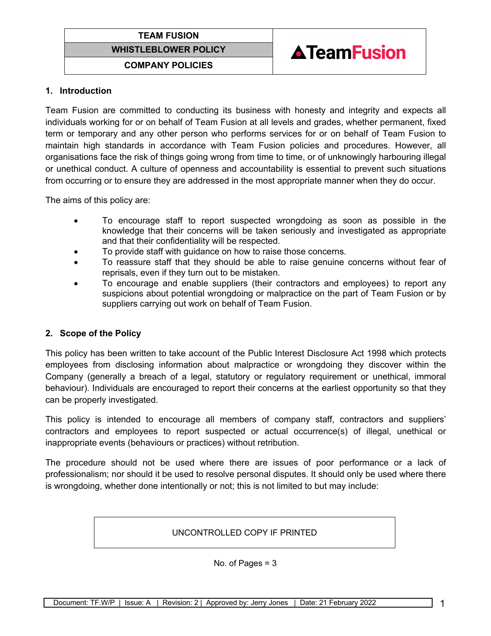



### **1. Introduction**

Team Fusion are committed to conducting its business with honesty and integrity and expects all individuals working for or on behalf of Team Fusion at all levels and grades, whether permanent, fixed term or temporary and any other person who performs services for or on behalf of Team Fusion to maintain high standards in accordance with Team Fusion policies and procedures. However, all organisations face the risk of things going wrong from time to time, or of unknowingly harbouring illegal or unethical conduct. A culture of openness and accountability is essential to prevent such situations from occurring or to ensure they are addressed in the most appropriate manner when they do occur.

The aims of this policy are:

- To encourage staff to report suspected wrongdoing as soon as possible in the knowledge that their concerns will be taken seriously and investigated as appropriate and that their confidentiality will be respected.
- To provide staff with guidance on how to raise those concerns.
- To reassure staff that they should be able to raise genuine concerns without fear of reprisals, even if they turn out to be mistaken.
- To encourage and enable suppliers (their contractors and employees) to report any suspicions about potential wrongdoing or malpractice on the part of Team Fusion or by suppliers carrying out work on behalf of Team Fusion.

## **2. Scope of the Policy**

This policy has been written to take account of the Public Interest Disclosure Act 1998 which protects employees from disclosing information about malpractice or wrongdoing they discover within the Company (generally a breach of a legal, statutory or regulatory requirement or unethical, immoral behaviour). Individuals are encouraged to report their concerns at the earliest opportunity so that they can be properly investigated.

This policy is intended to encourage all members of company staff, contractors and suppliers' contractors and employees to report suspected or actual occurrence(s) of illegal, unethical or inappropriate events (behaviours or practices) without retribution.

The procedure should not be used where there are issues of poor performance or a lack of professionalism; nor should it be used to resolve personal disputes. It should only be used where there is wrongdoing, whether done intentionally or not; this is not limited to but may include:

#### UNCONTROLLED COPY IF PRINTED

No. of Pages = 3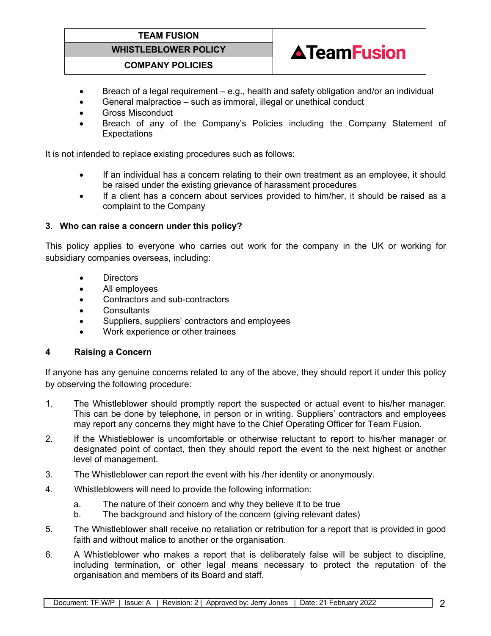# **TEAM FUSION**

# **WHISTLEBLOWER POLICY**



#### **COMPANY POLICIES**

- Breach of a legal requirement e.g., health and safety obligation and/or an individual
- General malpractice such as immoral, illegal or unethical conduct
- Gross Misconduct
- Breach of any of the Company's Policies including the Company Statement of **Expectations**

It is not intended to replace existing procedures such as follows:

- If an individual has a concern relating to their own treatment as an employee, it should be raised under the existing grievance of harassment procedures
- If a client has a concern about services provided to him/her, it should be raised as a complaint to the Company

#### **3. Who can raise a concern under this policy?**

This policy applies to everyone who carries out work for the company in the UK or working for subsidiary companies overseas, including:

- Directors
- All employees
- Contractors and sub-contractors
- **Consultants**
- Suppliers, suppliers' contractors and employees
- Work experience or other trainees

## **4 Raising a Concern**

If anyone has any genuine concerns related to any of the above, they should report it under this policy by observing the following procedure:

- 1. The Whistleblower should promptly report the suspected or actual event to his/her manager. This can be done by telephone, in person or in writing. Suppliers' contractors and employees may report any concerns they might have to the Chief Operating Officer for Team Fusion.
- 2. If the Whistleblower is uncomfortable or otherwise reluctant to report to his/her manager or designated point of contact, then they should report the event to the next highest or another level of management.
- 3. The Whistleblower can report the event with his /her identity or anonymously.
- 4. Whistleblowers will need to provide the following information:
	- a. The nature of their concern and why they believe it to be true
	- b. The background and history of the concern (giving relevant dates)
- 5. The Whistleblower shall receive no retaliation or retribution for a report that is provided in good faith and without malice to another or the organisation.
- 6. A Whistleblower who makes a report that is deliberately false will be subject to discipline, including termination, or other legal means necessary to protect the reputation of the organisation and members of its Board and staff.